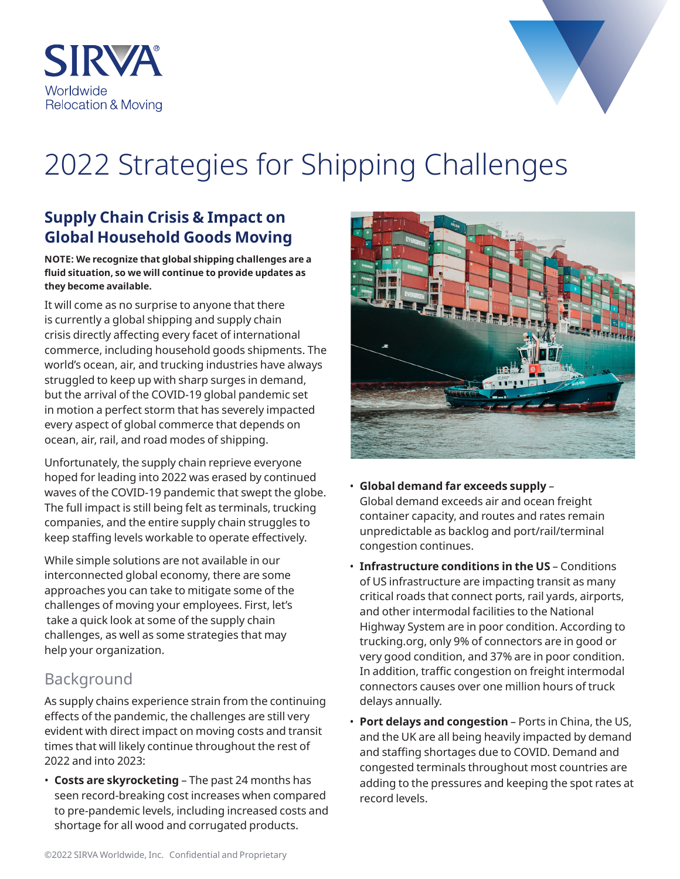



# 2022 Strategies for Shipping Challenges

### **Supply Chain Crisis & Impact on Global Household Goods Moving**

**NOTE: We recognize that global shipping challenges are a fluid situation, so we will continue to provide updates as they become available.**

It will come as no surprise to anyone that there is currently a global shipping and supply chain crisis directly affecting every facet of international commerce, including household goods shipments. The world's ocean, air, and trucking industries have always struggled to keep up with sharp surges in demand, but the arrival of the COVID-19 global pandemic set in motion a perfect storm that has severely impacted every aspect of global commerce that depends on ocean, air, rail, and road modes of shipping.

Unfortunately, the supply chain reprieve everyone hoped for leading into 2022 was erased by continued waves of the COVID-19 pandemic that swept the globe. The full impact is still being felt as terminals, trucking companies, and the entire supply chain struggles to keep staffing levels workable to operate effectively.

While simple solutions are not available in our interconnected global economy, there are some approaches you can take to mitigate some of the challenges of moving your employees. First, let's take a quick look at some of the supply chain challenges, as well as some strategies that may help your organization.

### Background

As supply chains experience strain from the continuing effects of the pandemic, the challenges are still very evident with direct impact on moving costs and transit times that will likely continue throughout the rest of 2022 and into 2023:

• **Costs are skyrocketing** – The past 24 months has seen record-breaking cost increases when compared to pre-pandemic levels, including increased costs and shortage for all wood and corrugated products.



- **Global demand far exceeds supply** Global demand exceeds air and ocean freight container capacity, and routes and rates remain unpredictable as backlog and port/rail/terminal congestion continues.
- **Infrastructure conditions in the US** Conditions of US infrastructure are impacting transit as many critical roads that connect ports, rail yards, airports, and other intermodal facilities to the National Highway System are in poor condition. According to trucking.org, only 9% of connectors are in good or very good condition, and 37% are in poor condition. In addition, traffic congestion on freight intermodal connectors causes over one million hours of truck delays annually.
- **Port delays and congestion** Ports in China, the US, and the UK are all being heavily impacted by demand and staffing shortages due to COVID. Demand and congested terminals throughout most countries are adding to the pressures and keeping the spot rates at record levels.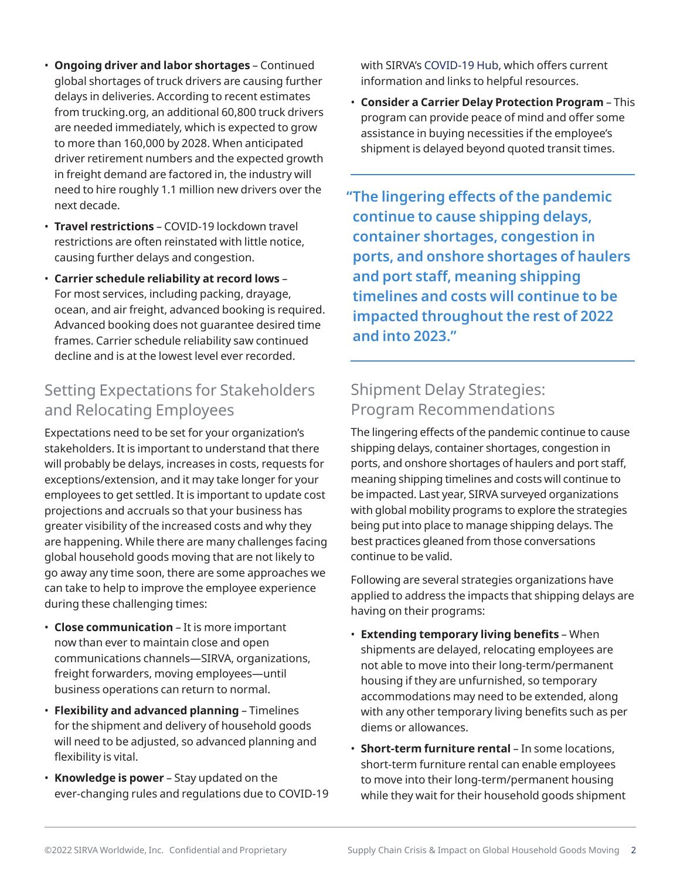- **Ongoing driver and labor shortages** Continued global shortages of truck drivers are causing further delays in deliveries. According to recent estimates from trucking.org, an additional 60,800 truck drivers are needed immediately, which is expected to grow to more than 160,000 by 2028. When anticipated driver retirement numbers and the expected growth in freight demand are factored in, the industry will need to hire roughly 1.1 million new drivers over the next decade.
- **Travel restrictions** COVID-19 lockdown travel restrictions are often reinstated with little notice, causing further delays and congestion.
- **Carrier schedule reliability at record lows** For most services, including packing, drayage, ocean, and air freight, advanced booking is required. Advanced booking does not guarantee desired time frames. Carrier schedule reliability saw continued decline and is at the lowest level ever recorded.

### Setting Expectations for Stakeholders and Relocating Employees

Expectations need to be set for your organization's stakeholders. It is important to understand that there will probably be delays, increases in costs, requests for exceptions/extension, and it may take longer for your employees to get settled. It is important to update cost projections and accruals so that your business has greater visibility of the increased costs and why they are happening. While there are many challenges facing global household goods moving that are not likely to go away any time soon, there are some approaches we can take to help to improve the employee experience during these challenging times:

- **Close communication** It is more important now than ever to maintain close and open communications channels—SIRVA, organizations, freight forwarders, moving employees—until business operations can return to normal.
- **Flexibility and advanced planning** Timelines for the shipment and delivery of household goods will need to be adjusted, so advanced planning and flexibility is vital.
- **Knowledge is power** Stay updated on the ever-changing rules and regulations due to COVID-19

with SIRVA's [COVID-19 Hub](https://www.sirva.com/company/covid-19), which offers current information and links to helpful resources.

• **Consider a Carrier Delay Protection Program** – This program can provide peace of mind and offer some assistance in buying necessities if the employee's shipment is delayed beyond quoted transit times.

**"The lingering effects of the pandemic continue to cause shipping delays, container shortages, congestion in ports, and onshore shortages of haulers and port staff, meaning shipping timelines and costs will continue to be impacted throughout the rest of 2022 and into 2023."**

## Shipment Delay Strategies: Program Recommendations

The lingering effects of the pandemic continue to cause shipping delays, container shortages, congestion in ports, and onshore shortages of haulers and port staff, meaning shipping timelines and costs will continue to be impacted. Last year, SIRVA surveyed organizations with global mobility programs to explore the strategies being put into place to manage shipping delays. The best practices gleaned from those conversations continue to be valid.

Following are several strategies organizations have applied to address the impacts that shipping delays are having on their programs:

- **Extending temporary living benefits** When shipments are delayed, relocating employees are not able to move into their long-term/permanent housing if they are unfurnished, so temporary accommodations may need to be extended, along with any other temporary living benefits such as per diems or allowances.
- **Short-term furniture rental** In some locations, short-term furniture rental can enable employees to move into their long-term/permanent housing while they wait for their household goods shipment